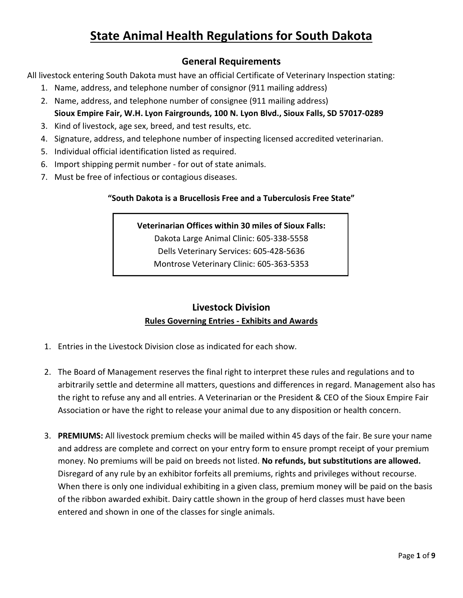### **State Animal Health Regulations for South Dakota**

### **General Requirements**

All livestock entering South Dakota must have an official Certificate of Veterinary Inspection stating:

- 1. Name, address, and telephone number of consignor (911 mailing address)
- 2. Name, address, and telephone number of consignee (911 mailing address) **Sioux Empire Fair, W.H. Lyon Fairgrounds, 100 N. Lyon Blvd., Sioux Falls, SD 57017-0289**
- 3. Kind of livestock, age sex, breed, and test results, etc.
- 4. Signature, address, and telephone number of inspecting licensed accredited veterinarian.
- 5. Individual official identification listed as required.
- 6. Import shipping permit number for out of state animals.
- 7. Must be free of infectious or contagious diseases.

### **"South Dakota is a Brucellosis Free and a Tuberculosis Free State"**

**Veterinarian Offices within 30 miles of Sioux Falls:** Dakota Large Animal Clinic: 605-338-5558 Dells Veterinary Services: 605-428-5636 Montrose Veterinary Clinic: 605-363-5353

### **Livestock Division Rules Governing Entries - Exhibits and Awards**

- 1. Entries in the Livestock Division close as indicated for each show.
- 2. The Board of Management reserves the final right to interpret these rules and regulations and to arbitrarily settle and determine all matters, questions and differences in regard. Management also has the right to refuse any and all entries. A Veterinarian or the President & CEO of the Sioux Empire Fair Association or have the right to release your animal due to any disposition or health concern.
- 3. **PREMIUMS:** All livestock premium checks will be mailed within 45 days of the fair. Be sure your name and address are complete and correct on your entry form to ensure prompt receipt of your premium money. No premiums will be paid on breeds not listed. **No refunds, but substitutions are allowed.** Disregard of any rule by an exhibitor forfeits all premiums, rights and privileges without recourse. When there is only one individual exhibiting in a given class, premium money will be paid on the basis of the ribbon awarded exhibit. Dairy cattle shown in the group of herd classes must have been entered and shown in one of the classes for single animals.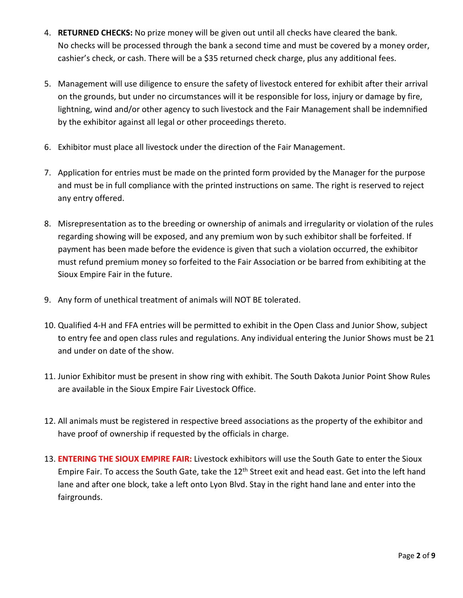- 4. **RETURNED CHECKS:** No prize money will be given out until all checks have cleared the bank. No checks will be processed through the bank a second time and must be covered by a money order, cashier's check, or cash. There will be a \$35 returned check charge, plus any additional fees.
- 5. Management will use diligence to ensure the safety of livestock entered for exhibit after their arrival on the grounds, but under no circumstances will it be responsible for loss, injury or damage by fire, lightning, wind and/or other agency to such livestock and the Fair Management shall be indemnified by the exhibitor against all legal or other proceedings thereto.
- 6. Exhibitor must place all livestock under the direction of the Fair Management.
- 7. Application for entries must be made on the printed form provided by the Manager for the purpose and must be in full compliance with the printed instructions on same. The right is reserved to reject any entry offered.
- 8. Misrepresentation as to the breeding or ownership of animals and irregularity or violation of the rules regarding showing will be exposed, and any premium won by such exhibitor shall be forfeited. If payment has been made before the evidence is given that such a violation occurred, the exhibitor must refund premium money so forfeited to the Fair Association or be barred from exhibiting at the Sioux Empire Fair in the future.
- 9. Any form of unethical treatment of animals will NOT BE tolerated.
- 10. Qualified 4-H and FFA entries will be permitted to exhibit in the Open Class and Junior Show, subject to entry fee and open class rules and regulations. Any individual entering the Junior Shows must be 21 and under on date of the show.
- 11. Junior Exhibitor must be present in show ring with exhibit. The South Dakota Junior Point Show Rules are available in the Sioux Empire Fair Livestock Office.
- 12. All animals must be registered in respective breed associations as the property of the exhibitor and have proof of ownership if requested by the officials in charge.
- 13. **ENTERING THE SIOUX EMPIRE FAIR:** Livestock exhibitors will use the South Gate to enter the Sioux Empire Fair. To access the South Gate, take the 12<sup>th</sup> Street exit and head east. Get into the left hand lane and after one block, take a left onto Lyon Blvd. Stay in the right hand lane and enter into the fairgrounds.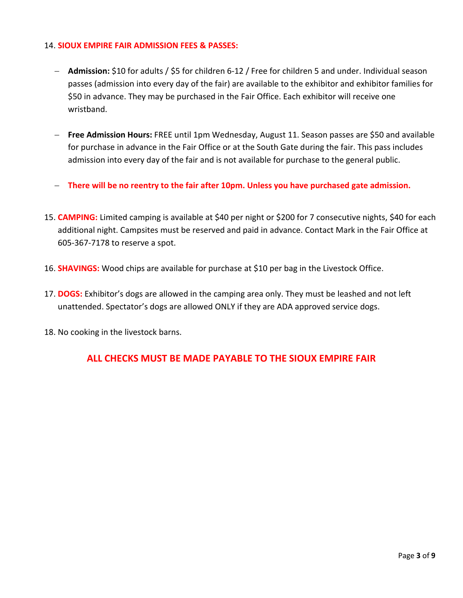#### 14. **SIOUX EMPIRE FAIR ADMISSION FEES & PASSES:**

- − **Admission:** \$10 for adults / \$5 for children 6-12 / Free for children 5 and under. Individual season passes (admission into every day of the fair) are available to the exhibitor and exhibitor families for \$50 in advance. They may be purchased in the Fair Office. Each exhibitor will receive one wristband.
- − **Free Admission Hours:** FREE until 1pm Wednesday, August 11. Season passes are \$50 and available for purchase in advance in the Fair Office or at the South Gate during the fair. This pass includes admission into every day of the fair and is not available for purchase to the general public.
- − **There will be no reentry to the fair after 10pm. Unless you have purchased gate admission.**
- 15. **CAMPING:** Limited camping is available at \$40 per night or \$200 for 7 consecutive nights, \$40 for each additional night. Campsites must be reserved and paid in advance. Contact Mark in the Fair Office at 605-367-7178 to reserve a spot.
- 16. **SHAVINGS:** Wood chips are available for purchase at \$10 per bag in the Livestock Office.
- 17. **DOGS:** Exhibitor's dogs are allowed in the camping area only. They must be leashed and not left unattended. Spectator's dogs are allowed ONLY if they are ADA approved service dogs.
- 18. No cooking in the livestock barns.

### **ALL CHECKS MUST BE MADE PAYABLE TO THE SIOUX EMPIRE FAIR**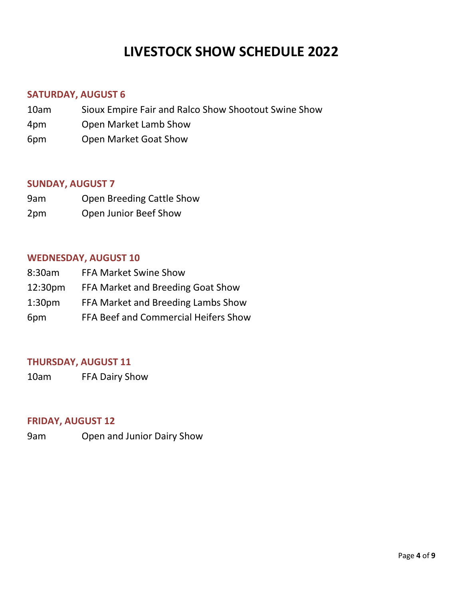# **LIVESTOCK SHOW SCHEDULE 2022**

### **SATURDAY, AUGUST 6**

- 10am Sioux Empire Fair and Ralco Show Shootout Swine Show
- 4pm Open Market Lamb Show
- 6pm Open Market Goat Show

### **SUNDAY, AUGUST 7**

- 9am Open Breeding Cattle Show
- 2pm Open Junior Beef Show

### **WEDNESDAY, AUGUST 10**

| 8:30am              | <b>FFA Market Swine Show</b>         |
|---------------------|--------------------------------------|
| 12:30 <sub>pm</sub> | FFA Market and Breeding Goat Show    |
| 1:30 <sub>pm</sub>  | FFA Market and Breeding Lambs Show   |
| 6pm                 | FFA Beef and Commercial Heifers Show |

### **THURSDAY, AUGUST 11**

10am FFA Dairy Show

### **FRIDAY, AUGUST 12**

9am Open and Junior Dairy Show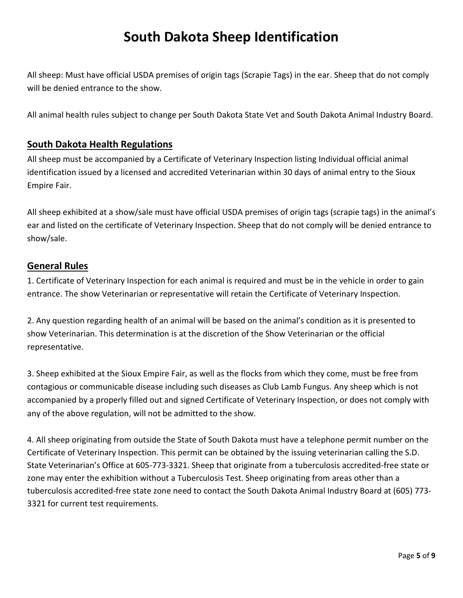## **South Dakota Sheep Identification**

All sheep: Must have official USDA premises of origin tags (Scrapie Tags) in the ear. Sheep that do not comply will be denied entrance to the show.

All animal health rules subject to change per South Dakota State Vet and South Dakota Animal Industry Board.

### **South Dakota Health Regulations**

All sheep must be accompanied by a Certificate of Veterinary Inspection listing Individual official animal identification issued by a licensed and accredited Veterinarian within 30 days of animal entry to the Sioux Empire Fair.

All sheep exhibited at a show/sale must have official USDA premises of origin tags (scrapie tags) in the animal's ear and listed on the certificate of Veterinary Inspection. Sheep that do not comply will be denied entrance to show/sale.

### **General Rules**

1. Certificate of Veterinary Inspection for each animal is required and must be in the vehicle in order to gain entrance. The show Veterinarian or representative will retain the Certificate of Veterinary Inspection.

2. Any question regarding health of an animal will be based on the animal's condition as it is presented to show Veterinarian. This determination is at the discretion of the Show Veterinarian or the official representative.

3. Sheep exhibited at the Sioux Empire Fair, as well as the flocks from which they come, must be free from contagious or communicable disease including such diseases as Club Lamb Fungus. Any sheep which is not accompanied by a properly filled out and signed Certificate of Veterinary Inspection, or does not comply with any of the above regulation, will not be admitted to the show.

4. All sheep originating from outside the State of South Dakota must have a telephone permit number on the Certificate of Veterinary Inspection. This permit can be obtained by the issuing veterinarian calling the S.D. State Veterinarian's Office at 605-773-3321. Sheep that originate from a tuberculosis accredited-free state or zone may enter the exhibition without a Tuberculosis Test. Sheep originating from areas other than a tuberculosis accredited-free state zone need to contact the South Dakota Animal Industry Board at (605) 773- 3321 for current test requirements.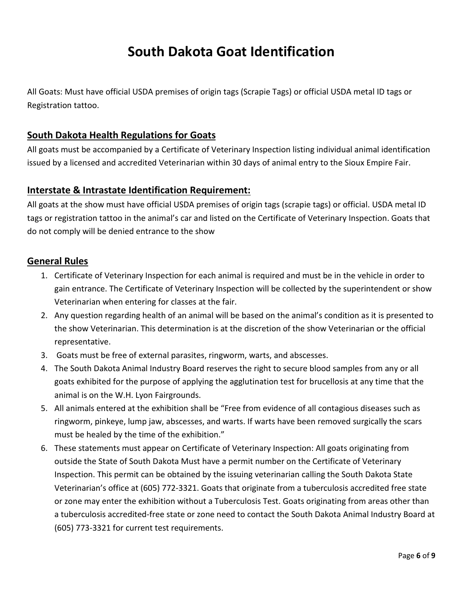## **South Dakota Goat Identification**

All Goats: Must have official USDA premises of origin tags (Scrapie Tags) or official USDA metal ID tags or Registration tattoo.

### **South Dakota Health Regulations for Goats**

All goats must be accompanied by a Certificate of Veterinary Inspection listing individual animal identification issued by a licensed and accredited Veterinarian within 30 days of animal entry to the Sioux Empire Fair.

### **Interstate & Intrastate Identification Requirement:**

All goats at the show must have official USDA premises of origin tags (scrapie tags) or official. USDA metal ID tags or registration tattoo in the animal's car and listed on the Certificate of Veterinary Inspection. Goats that do not comply will be denied entrance to the show

### **General Rules**

- 1. Certificate of Veterinary Inspection for each animal is required and must be in the vehicle in order to gain entrance. The Certificate of Veterinary Inspection will be collected by the superintendent or show Veterinarian when entering for classes at the fair.
- 2. Any question regarding health of an animal will be based on the animal's condition as it is presented to the show Veterinarian. This determination is at the discretion of the show Veterinarian or the official representative.
- 3. Goats must be free of external parasites, ringworm, warts, and abscesses.
- 4. The South Dakota Animal Industry Board reserves the right to secure blood samples from any or all goats exhibited for the purpose of applying the agglutination test for brucellosis at any time that the animal is on the W.H. Lyon Fairgrounds.
- 5. All animals entered at the exhibition shall be "Free from evidence of all contagious diseases such as ringworm, pinkeye, lump jaw, abscesses, and warts. If warts have been removed surgically the scars must be healed by the time of the exhibition."
- 6. These statements must appear on Certificate of Veterinary Inspection: All goats originating from outside the State of South Dakota Must have a permit number on the Certificate of Veterinary Inspection. This permit can be obtained by the issuing veterinarian calling the South Dakota State Veterinarian's office at (605) 772-3321. Goats that originate from a tuberculosis accredited free state or zone may enter the exhibition without a Tuberculosis Test. Goats originating from areas other than a tuberculosis accredited-free state or zone need to contact the South Dakota Animal Industry Board at (605) 773-3321 for current test requirements.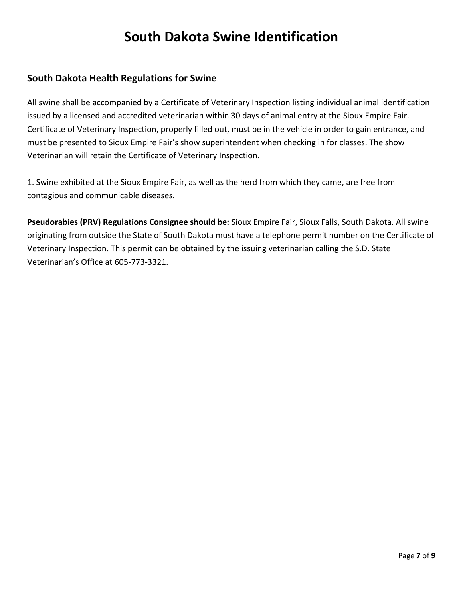## **South Dakota Swine Identification**

### **South Dakota Health Regulations for Swine**

All swine shall be accompanied by a Certificate of Veterinary Inspection listing individual animal identification issued by a licensed and accredited veterinarian within 30 days of animal entry at the Sioux Empire Fair. Certificate of Veterinary Inspection, properly filled out, must be in the vehicle in order to gain entrance, and must be presented to Sioux Empire Fair's show superintendent when checking in for classes. The show Veterinarian will retain the Certificate of Veterinary Inspection.

1. Swine exhibited at the Sioux Empire Fair, as well as the herd from which they came, are free from contagious and communicable diseases.

**Pseudorabies (PRV) Regulations Consignee should be:** Sioux Empire Fair, Sioux Falls, South Dakota. All swine originating from outside the State of South Dakota must have a telephone permit number on the Certificate of Veterinary Inspection. This permit can be obtained by the issuing veterinarian calling the S.D. State Veterinarian's Office at 605-773-3321.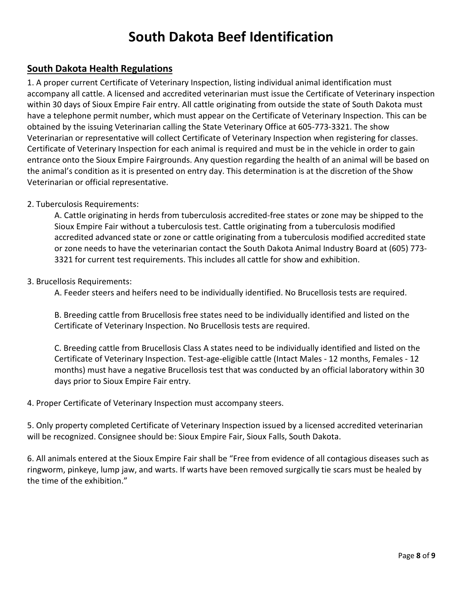## **South Dakota Beef Identification**

### **South Dakota Health Regulations**

1. A proper current Certificate of Veterinary Inspection, listing individual animal identification must accompany all cattle. A licensed and accredited veterinarian must issue the Certificate of Veterinary inspection within 30 days of Sioux Empire Fair entry. All cattle originating from outside the state of South Dakota must have a telephone permit number, which must appear on the Certificate of Veterinary Inspection. This can be obtained by the issuing Veterinarian calling the State Veterinary Office at 605-773-3321. The show Veterinarian or representative will collect Certificate of Veterinary Inspection when registering for classes. Certificate of Veterinary Inspection for each animal is required and must be in the vehicle in order to gain entrance onto the Sioux Empire Fairgrounds. Any question regarding the health of an animal will be based on the animal's condition as it is presented on entry day. This determination is at the discretion of the Show Veterinarian or official representative.

#### 2. Tuberculosis Requirements:

A. Cattle originating in herds from tuberculosis accredited-free states or zone may be shipped to the Sioux Empire Fair without a tuberculosis test. Cattle originating from a tuberculosis modified accredited advanced state or zone or cattle originating from a tuberculosis modified accredited state or zone needs to have the veterinarian contact the South Dakota Animal Industry Board at (605) 773- 3321 for current test requirements. This includes all cattle for show and exhibition.

#### 3. Brucellosis Requirements:

A. Feeder steers and heifers need to be individually identified. No Brucellosis tests are required.

B. Breeding cattle from Brucellosis free states need to be individually identified and listed on the Certificate of Veterinary Inspection. No Brucellosis tests are required.

C. Breeding cattle from Brucellosis Class A states need to be individually identified and listed on the Certificate of Veterinary Inspection. Test-age-eligible cattle (Intact Males - 12 months, Females - 12 months) must have a negative Brucellosis test that was conducted by an official laboratory within 30 days prior to Sioux Empire Fair entry.

4. Proper Certificate of Veterinary Inspection must accompany steers.

5. Only property completed Certificate of Veterinary Inspection issued by a licensed accredited veterinarian will be recognized. Consignee should be: Sioux Empire Fair, Sioux Falls, South Dakota.

6. All animals entered at the Sioux Empire Fair shall be "Free from evidence of all contagious diseases such as ringworm, pinkeye, lump jaw, and warts. If warts have been removed surgically tie scars must be healed by the time of the exhibition."